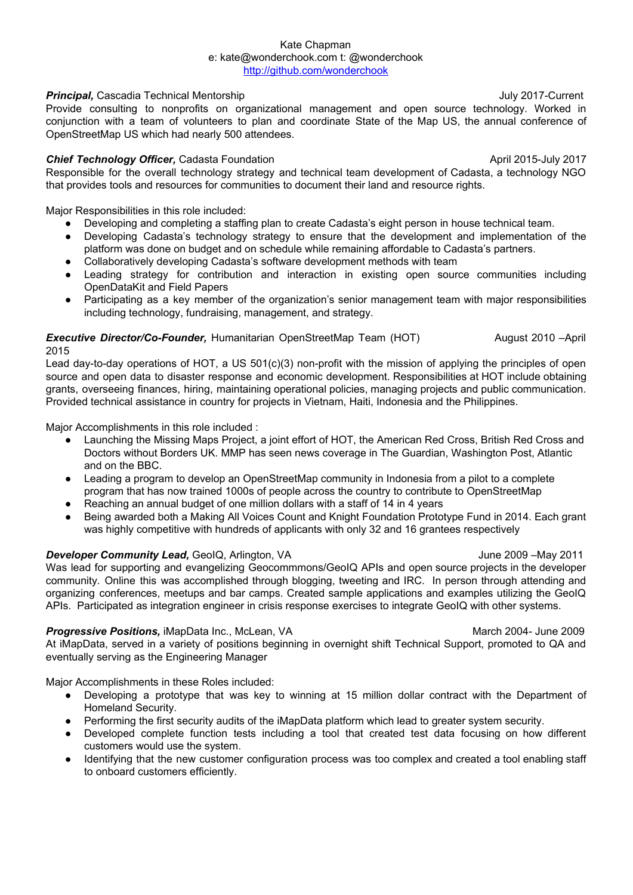#### Kate Chapman e: kate@wonderchook.com t: @wonderchook <http://github.com/wonderchook>

## **Principal,** Cascadia Technical Mentorship July 2017-Current

Provide consulting to nonprofits on organizational management and open source technology. Worked in conjunction with a team of volunteers to plan and coordinate State of the Map US, the annual conference of OpenStreetMap US which had nearly 500 attendees.

# **Chief Technology Officer,** Cadasta Foundation **April 2015-July 2017** April 2015-July 2017

Responsible for the overall technology strategy and technical team development of Cadasta, a technology NGO that provides tools and resources for communities to document their land and resource rights.

Major Responsibilities in this role included:

- Developing and completing a staffing plan to create Cadasta's eight person in house technical team.
- Developing Cadasta's technology strategy to ensure that the development and implementation of the platform was done on budget and on schedule while remaining affordable to Cadasta's partners.
- Collaboratively developing Cadasta's software development methods with team
- Leading strategy for contribution and interaction in existing open source communities including OpenDataKit and Field Papers
- Participating as a key member of the organization's senior management team with major responsibilities including technology, fundraising, management, and strategy.

# *Executive Director/Co-Founder,* Humanitarian OpenStreetMap Team (HOT) August 2010 –April 2015

Lead day-to-day operations of HOT, a US 501(c)(3) non-profit with the mission of applying the principles of open source and open data to disaster response and economic development. Responsibilities at HOT include obtaining grants, overseeing finances, hiring, maintaining operational policies, managing projects and public communication. Provided technical assistance in country for projects in Vietnam, Haiti, Indonesia and the Philippines.

Major Accomplishments in this role included :

- Launching the Missing Maps Project, a joint effort of HOT, the American Red Cross, British Red Cross and Doctors without Borders UK. MMP has seen news coverage in The Guardian, Washington Post, Atlantic and on the BBC.
- Leading a program to develop an OpenStreetMap community in Indonesia from a pilot to a complete program that has now trained 1000s of people across the country to contribute to OpenStreetMap
- Reaching an annual budget of one million dollars with a staff of 14 in 4 years
- Being awarded both a Making All Voices Count and Knight Foundation Prototype Fund in 2014. Each grant was highly competitive with hundreds of applicants with only 32 and 16 grantees respectively

### **Developer Community Lead,** GeoIQ, Arlington, VA June 2009 – May 2011

Was lead for supporting and evangelizing Geocommmons/GeoIQ APIs and open source projects in the developer community. Online this was accomplished through blogging, tweeting and IRC. In person through attending and organizing conferences, meetups and bar camps. Created sample applications and examples utilizing the GeoIQ APIs. Participated as integration engineer in crisis response exercises to integrate GeoIQ with other systems.

### **Progressive Positions,** iMapData Inc., McLean, VA March 2004- March 2004- June 2009

At iMapData, served in a variety of positions beginning in overnight shift Technical Support, promoted to QA and eventually serving as the Engineering Manager

Major Accomplishments in these Roles included:

- Developing a prototype that was key to winning at 15 million dollar contract with the Department of Homeland Security.
- Performing the first security audits of the iMapData platform which lead to greater system security.
- Developed complete function tests including a tool that created test data focusing on how different customers would use the system.
- Identifying that the new customer configuration process was too complex and created a tool enabling staff to onboard customers efficiently.